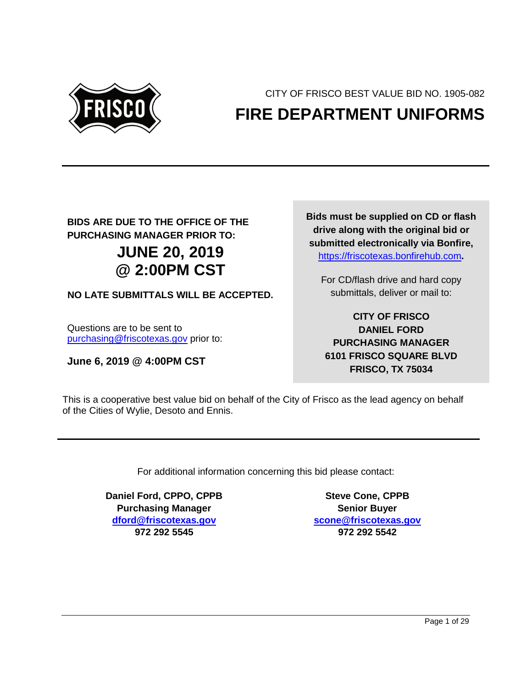

# CITY OF FRISCO BEST VALUE BID NO. 1905-082 **FIRE DEPARTMENT UNIFORMS**

## **BIDS ARE DUE TO THE OFFICE OF THE PURCHASING MANAGER PRIOR TO: JUNE 20, 2019 @ 2:00PM CST**

**NO LATE SUBMITTALS WILL BE ACCEPTED.**

Questions are to be sent to [purchasing@friscotexas.gov](file://CHStore/P&D/Comprehensive%20Planning/COMP%20PLAN/Comp%20Plan%202015/Update%20Process/Consultant/RFQ%20Documentation/purchasing@friscotexas.gov) prior to:

**June 6, 2019 @ 4:00PM CST**

**Bids must be supplied on CD or flash drive along with the original bid or submitted electronically via Bonfire,**  [https://friscotexas.bonfirehub.com](https://friscotexas.bonfirehub.com/portal)**.**

For CD/flash drive and hard copy submittals, deliver or mail to:

**CITY OF FRISCO DANIEL FORD PURCHASING MANAGER 6101 FRISCO SQUARE BLVD FRISCO, TX 75034**

This is a cooperative best value bid on behalf of the City of Frisco as the lead agency on behalf of the Cities of Wylie, Desoto and Ennis.

For additional information concerning this bid please contact:

**Daniel Ford, CPPO, CPPB Purchasing Manager [dford@friscotexas.gov](mailto:dford@friscotexas.gov) 972 292 5545**

**Steve Cone, CPPB Senior Buyer [scone@friscotexas.gov](mailto:scone@friscotexas.gov) 972 292 5542**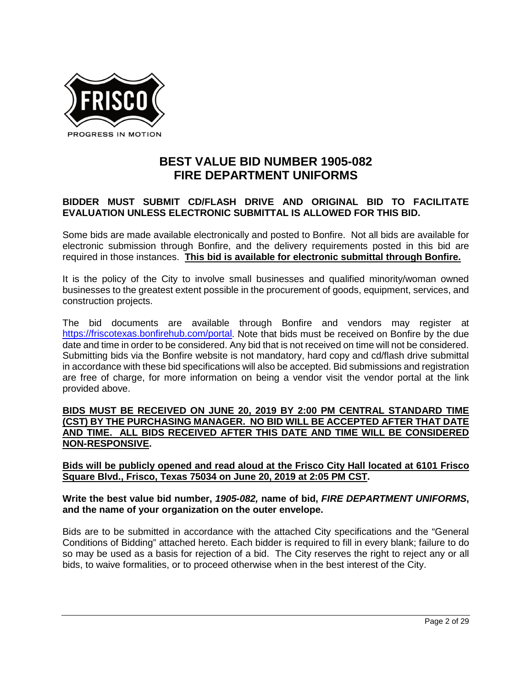

### **BEST VALUE BID NUMBER 1905-082 FIRE DEPARTMENT UNIFORMS**

#### **BIDDER MUST SUBMIT CD/FLASH DRIVE AND ORIGINAL BID TO FACILITATE EVALUATION UNLESS ELECTRONIC SUBMITTAL IS ALLOWED FOR THIS BID.**

Some bids are made available electronically and posted to Bonfire. Not all bids are available for electronic submission through Bonfire, and the delivery requirements posted in this bid are required in those instances. **This bid is available for electronic submittal through Bonfire.**

It is the policy of the City to involve small businesses and qualified minority/woman owned businesses to the greatest extent possible in the procurement of goods, equipment, services, and construction projects.

The bid documents are available through Bonfire and vendors may register at [https://friscotexas.bonfirehub.com/portal.](https://friscotexas.bonfirehub.com/portal) Note that bids must be received on Bonfire by the due date and time in order to be considered. Any bid that is not received on time will not be considered. Submitting bids via the Bonfire website is not mandatory, hard copy and cd/flash drive submittal in accordance with these bid specifications will also be accepted. Bid submissions and registration are free of charge, for more information on being a vendor visit the vendor portal at the link provided above.

#### **BIDS MUST BE RECEIVED ON JUNE 20, 2019 BY 2:00 PM CENTRAL STANDARD TIME (CST) BY THE PURCHASING MANAGER. NO BID WILL BE ACCEPTED AFTER THAT DATE AND TIME. ALL BIDS RECEIVED AFTER THIS DATE AND TIME WILL BE CONSIDERED NON-RESPONSIVE.**

**Bids will be publicly opened and read aloud at the Frisco City Hall located at 6101 Frisco Square Blvd., Frisco, Texas 75034 on June 20, 2019 at 2:05 PM CST.**

#### **Write the best value bid number,** *1905-082,* **name of bid,** *FIRE DEPARTMENT UNIFORMS***, and the name of your organization on the outer envelope.**

Bids are to be submitted in accordance with the attached City specifications and the "General Conditions of Bidding" attached hereto. Each bidder is required to fill in every blank; failure to do so may be used as a basis for rejection of a bid. The City reserves the right to reject any or all bids, to waive formalities, or to proceed otherwise when in the best interest of the City.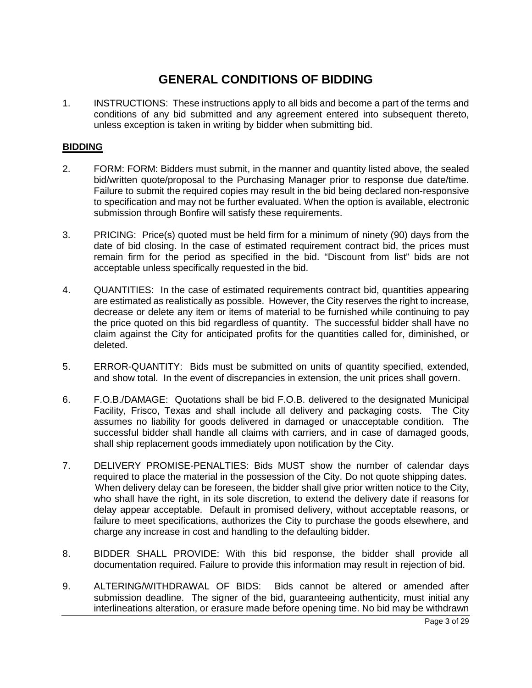## **GENERAL CONDITIONS OF BIDDING**

1. INSTRUCTIONS: These instructions apply to all bids and become a part of the terms and conditions of any bid submitted and any agreement entered into subsequent thereto, unless exception is taken in writing by bidder when submitting bid.

#### **BIDDING**

- 2. FORM: FORM: Bidders must submit, in the manner and quantity listed above, the sealed bid/written quote/proposal to the Purchasing Manager prior to response due date/time. Failure to submit the required copies may result in the bid being declared non-responsive to specification and may not be further evaluated. When the option is available, electronic submission through Bonfire will satisfy these requirements.
- 3. PRICING: Price(s) quoted must be held firm for a minimum of ninety (90) days from the date of bid closing. In the case of estimated requirement contract bid, the prices must remain firm for the period as specified in the bid. "Discount from list" bids are not acceptable unless specifically requested in the bid.
- 4. QUANTITIES: In the case of estimated requirements contract bid, quantities appearing are estimated as realistically as possible. However, the City reserves the right to increase, decrease or delete any item or items of material to be furnished while continuing to pay the price quoted on this bid regardless of quantity. The successful bidder shall have no claim against the City for anticipated profits for the quantities called for, diminished, or deleted.
- 5. ERROR-QUANTITY: Bids must be submitted on units of quantity specified, extended, and show total. In the event of discrepancies in extension, the unit prices shall govern.
- 6. F.O.B./DAMAGE: Quotations shall be bid F.O.B. delivered to the designated Municipal Facility, Frisco, Texas and shall include all delivery and packaging costs. The City assumes no liability for goods delivered in damaged or unacceptable condition. The successful bidder shall handle all claims with carriers, and in case of damaged goods, shall ship replacement goods immediately upon notification by the City.
- 7. DELIVERY PROMISE-PENALTIES: Bids MUST show the number of calendar days required to place the material in the possession of the City. Do not quote shipping dates. When delivery delay can be foreseen, the bidder shall give prior written notice to the City, who shall have the right, in its sole discretion, to extend the delivery date if reasons for delay appear acceptable. Default in promised delivery, without acceptable reasons, or failure to meet specifications, authorizes the City to purchase the goods elsewhere, and charge any increase in cost and handling to the defaulting bidder.
- 8. BIDDER SHALL PROVIDE: With this bid response, the bidder shall provide all documentation required. Failure to provide this information may result in rejection of bid.
- 9. ALTERING/WITHDRAWAL OF BIDS: Bids cannot be altered or amended after submission deadline. The signer of the bid, guaranteeing authenticity, must initial any interlineations alteration, or erasure made before opening time. No bid may be withdrawn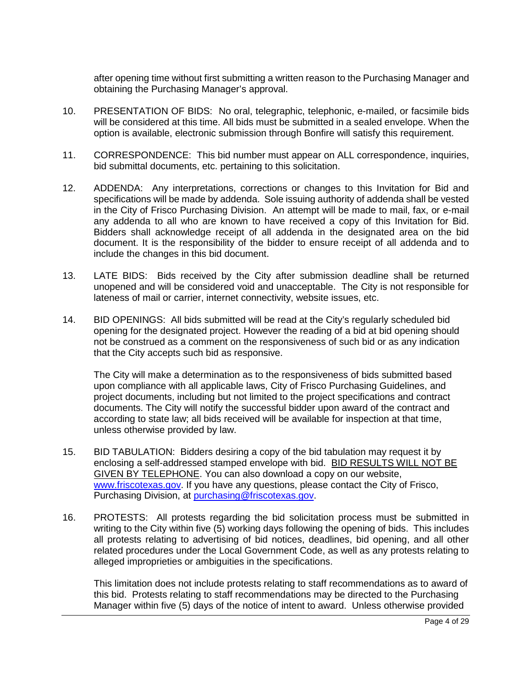after opening time without first submitting a written reason to the Purchasing Manager and obtaining the Purchasing Manager's approval.

- 10. PRESENTATION OF BIDS: No oral, telegraphic, telephonic, e-mailed, or facsimile bids will be considered at this time. All bids must be submitted in a sealed envelope. When the option is available, electronic submission through Bonfire will satisfy this requirement.
- 11. CORRESPONDENCE: This bid number must appear on ALL correspondence, inquiries, bid submittal documents, etc. pertaining to this solicitation.
- 12. ADDENDA: Any interpretations, corrections or changes to this Invitation for Bid and specifications will be made by addenda. Sole issuing authority of addenda shall be vested in the City of Frisco Purchasing Division. An attempt will be made to mail, fax, or e-mail any addenda to all who are known to have received a copy of this Invitation for Bid. Bidders shall acknowledge receipt of all addenda in the designated area on the bid document. It is the responsibility of the bidder to ensure receipt of all addenda and to include the changes in this bid document.
- 13. LATE BIDS: Bids received by the City after submission deadline shall be returned unopened and will be considered void and unacceptable. The City is not responsible for lateness of mail or carrier, internet connectivity, website issues, etc.
- 14. BID OPENINGS: All bids submitted will be read at the City's regularly scheduled bid opening for the designated project. However the reading of a bid at bid opening should not be construed as a comment on the responsiveness of such bid or as any indication that the City accepts such bid as responsive.

The City will make a determination as to the responsiveness of bids submitted based upon compliance with all applicable laws, City of Frisco Purchasing Guidelines, and project documents, including but not limited to the project specifications and contract documents. The City will notify the successful bidder upon award of the contract and according to state law; all bids received will be available for inspection at that time, unless otherwise provided by law.

- 15. BID TABULATION: Bidders desiring a copy of the bid tabulation may request it by enclosing a self-addressed stamped envelope with bid. BID RESULTS WILL NOT BE GIVEN BY TELEPHONE. You can also download a copy on our website, [www.friscotexas.gov.](http://www.ci.frisco.tx.us/) If you have any questions, please contact the City of Frisco, Purchasing Division, at [purchasing@friscotexas.gov.](mailto:purchasing@friscotexas.gov)
- 16. PROTESTS: All protests regarding the bid solicitation process must be submitted in writing to the City within five (5) working days following the opening of bids. This includes all protests relating to advertising of bid notices, deadlines, bid opening, and all other related procedures under the Local Government Code, as well as any protests relating to alleged improprieties or ambiguities in the specifications.

This limitation does not include protests relating to staff recommendations as to award of this bid. Protests relating to staff recommendations may be directed to the Purchasing Manager within five (5) days of the notice of intent to award. Unless otherwise provided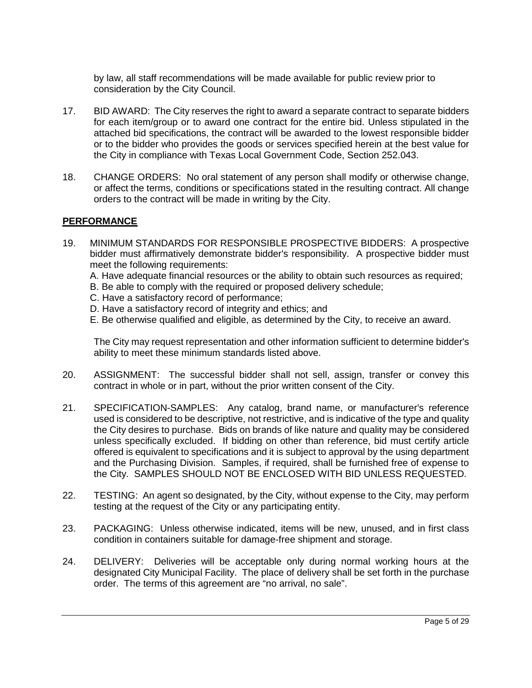by law, all staff recommendations will be made available for public review prior to consideration by the City Council.

- 17. BID AWARD: The City reserves the right to award a separate contract to separate bidders for each item/group or to award one contract for the entire bid. Unless stipulated in the attached bid specifications, the contract will be awarded to the lowest responsible bidder or to the bidder who provides the goods or services specified herein at the best value for the City in compliance with Texas Local Government Code, Section 252.043.
- 18. CHANGE ORDERS: No oral statement of any person shall modify or otherwise change, or affect the terms, conditions or specifications stated in the resulting contract. All change orders to the contract will be made in writing by the City.

#### **PERFORMANCE**

- 19. MINIMUM STANDARDS FOR RESPONSIBLE PROSPECTIVE BIDDERS: A prospective bidder must affirmatively demonstrate bidder's responsibility. A prospective bidder must meet the following requirements:
	- A. Have adequate financial resources or the ability to obtain such resources as required;
	- B. Be able to comply with the required or proposed delivery schedule;
	- C. Have a satisfactory record of performance;
	- D. Have a satisfactory record of integrity and ethics; and
	- E. Be otherwise qualified and eligible, as determined by the City, to receive an award.

The City may request representation and other information sufficient to determine bidder's ability to meet these minimum standards listed above.

- 20. ASSIGNMENT: The successful bidder shall not sell, assign, transfer or convey this contract in whole or in part, without the prior written consent of the City.
- 21. SPECIFICATION-SAMPLES: Any catalog, brand name, or manufacturer's reference used is considered to be descriptive, not restrictive, and is indicative of the type and quality the City desires to purchase. Bids on brands of like nature and quality may be considered unless specifically excluded. If bidding on other than reference, bid must certify article offered is equivalent to specifications and it is subject to approval by the using department and the Purchasing Division. Samples, if required, shall be furnished free of expense to the City. SAMPLES SHOULD NOT BE ENCLOSED WITH BID UNLESS REQUESTED.
- 22. TESTING: An agent so designated, by the City, without expense to the City, may perform testing at the request of the City or any participating entity.
- 23. PACKAGING: Unless otherwise indicated, items will be new, unused, and in first class condition in containers suitable for damage-free shipment and storage.
- 24. DELIVERY: Deliveries will be acceptable only during normal working hours at the designated City Municipal Facility. The place of delivery shall be set forth in the purchase order. The terms of this agreement are "no arrival, no sale".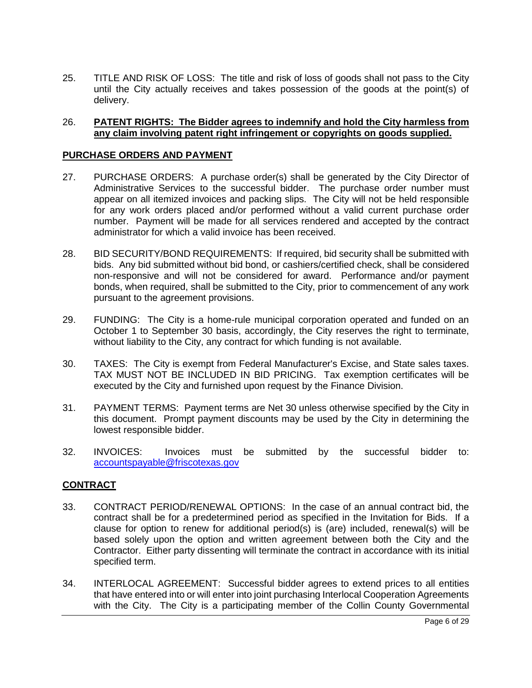25. TITLE AND RISK OF LOSS: The title and risk of loss of goods shall not pass to the City until the City actually receives and takes possession of the goods at the point(s) of delivery.

#### 26. **PATENT RIGHTS: The Bidder agrees to indemnify and hold the City harmless from any claim involving patent right infringement or copyrights on goods supplied.**

#### **PURCHASE ORDERS AND PAYMENT**

- 27. PURCHASE ORDERS: A purchase order(s) shall be generated by the City Director of Administrative Services to the successful bidder. The purchase order number must appear on all itemized invoices and packing slips. The City will not be held responsible for any work orders placed and/or performed without a valid current purchase order number. Payment will be made for all services rendered and accepted by the contract administrator for which a valid invoice has been received.
- 28. BID SECURITY/BOND REQUIREMENTS: If required, bid security shall be submitted with bids. Any bid submitted without bid bond, or cashiers/certified check, shall be considered non-responsive and will not be considered for award. Performance and/or payment bonds, when required, shall be submitted to the City, prior to commencement of any work pursuant to the agreement provisions.
- 29. FUNDING: The City is a home-rule municipal corporation operated and funded on an October 1 to September 30 basis, accordingly, the City reserves the right to terminate, without liability to the City, any contract for which funding is not available.
- 30. TAXES: The City is exempt from Federal Manufacturer's Excise, and State sales taxes. TAX MUST NOT BE INCLUDED IN BID PRICING. Tax exemption certificates will be executed by the City and furnished upon request by the Finance Division.
- 31. PAYMENT TERMS: Payment terms are Net 30 unless otherwise specified by the City in this document. Prompt payment discounts may be used by the City in determining the lowest responsible bidder.
- 32. INVOICES: Invoices must be submitted by the successful bidder to: [accountspayable@friscotexas.gov](mailto:accountspayable@friscotexas.gov)

#### **CONTRACT**

- 33. CONTRACT PERIOD/RENEWAL OPTIONS: In the case of an annual contract bid, the contract shall be for a predetermined period as specified in the Invitation for Bids. If a clause for option to renew for additional period(s) is (are) included, renewal(s) will be based solely upon the option and written agreement between both the City and the Contractor. Either party dissenting will terminate the contract in accordance with its initial specified term.
- 34. INTERLOCAL AGREEMENT: Successful bidder agrees to extend prices to all entities that have entered into or will enter into joint purchasing Interlocal Cooperation Agreements with the City. The City is a participating member of the Collin County Governmental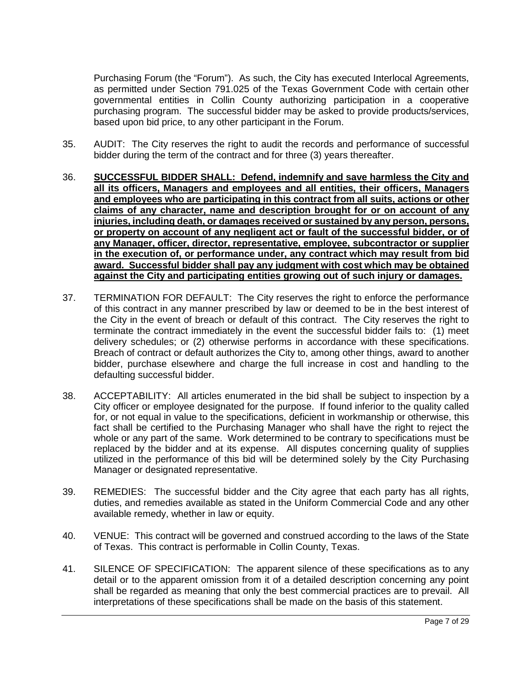Purchasing Forum (the "Forum"). As such, the City has executed Interlocal Agreements, as permitted under Section 791.025 of the Texas Government Code with certain other governmental entities in Collin County authorizing participation in a cooperative purchasing program. The successful bidder may be asked to provide products/services, based upon bid price, to any other participant in the Forum.

- 35. AUDIT: The City reserves the right to audit the records and performance of successful bidder during the term of the contract and for three (3) years thereafter.
- 36. **SUCCESSFUL BIDDER SHALL: Defend, indemnify and save harmless the City and all its officers, Managers and employees and all entities, their officers, Managers and employees who are participating in this contract from all suits, actions or other claims of any character, name and description brought for or on account of any injuries, including death, or damages received or sustained by any person, persons, or property on account of any negligent act or fault of the successful bidder, or of any Manager, officer, director, representative, employee, subcontractor or supplier in the execution of, or performance under, any contract which may result from bid award. Successful bidder shall pay any judgment with cost which may be obtained against the City and participating entities growing out of such injury or damages.**
- 37. TERMINATION FOR DEFAULT: The City reserves the right to enforce the performance of this contract in any manner prescribed by law or deemed to be in the best interest of the City in the event of breach or default of this contract. The City reserves the right to terminate the contract immediately in the event the successful bidder fails to: (1) meet delivery schedules; or (2) otherwise performs in accordance with these specifications. Breach of contract or default authorizes the City to, among other things, award to another bidder, purchase elsewhere and charge the full increase in cost and handling to the defaulting successful bidder.
- 38. ACCEPTABILITY: All articles enumerated in the bid shall be subject to inspection by a City officer or employee designated for the purpose. If found inferior to the quality called for, or not equal in value to the specifications, deficient in workmanship or otherwise, this fact shall be certified to the Purchasing Manager who shall have the right to reject the whole or any part of the same. Work determined to be contrary to specifications must be replaced by the bidder and at its expense. All disputes concerning quality of supplies utilized in the performance of this bid will be determined solely by the City Purchasing Manager or designated representative.
- 39. REMEDIES: The successful bidder and the City agree that each party has all rights, duties, and remedies available as stated in the Uniform Commercial Code and any other available remedy, whether in law or equity.
- 40. VENUE: This contract will be governed and construed according to the laws of the State of Texas. This contract is performable in Collin County, Texas.
- 41. SILENCE OF SPECIFICATION: The apparent silence of these specifications as to any detail or to the apparent omission from it of a detailed description concerning any point shall be regarded as meaning that only the best commercial practices are to prevail. All interpretations of these specifications shall be made on the basis of this statement.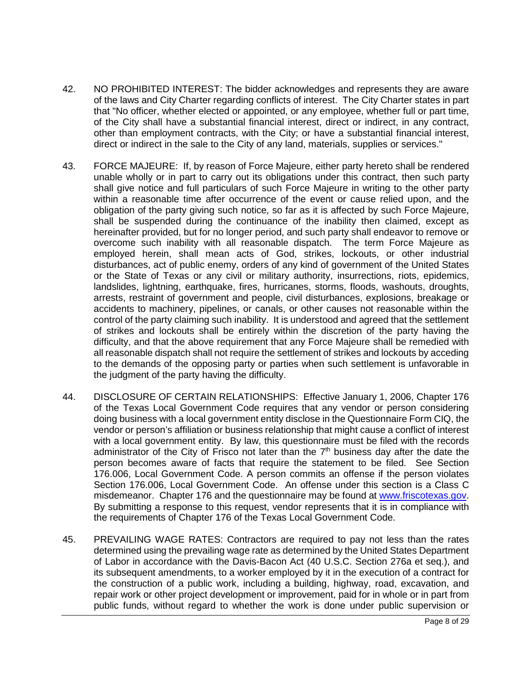- 42. NO PROHIBITED INTEREST: The bidder acknowledges and represents they are aware of the laws and City Charter regarding conflicts of interest. The City Charter states in part that "No officer, whether elected or appointed, or any employee, whether full or part time, of the City shall have a substantial financial interest, direct or indirect, in any contract, other than employment contracts, with the City; or have a substantial financial interest, direct or indirect in the sale to the City of any land, materials, supplies or services."
- 43. FORCE MAJEURE: If, by reason of Force Majeure, either party hereto shall be rendered unable wholly or in part to carry out its obligations under this contract, then such party shall give notice and full particulars of such Force Majeure in writing to the other party within a reasonable time after occurrence of the event or cause relied upon, and the obligation of the party giving such notice, so far as it is affected by such Force Majeure, shall be suspended during the continuance of the inability then claimed, except as hereinafter provided, but for no longer period, and such party shall endeavor to remove or overcome such inability with all reasonable dispatch. The term Force Majeure as employed herein, shall mean acts of God, strikes, lockouts, or other industrial disturbances, act of public enemy, orders of any kind of government of the United States or the State of Texas or any civil or military authority, insurrections, riots, epidemics, landslides, lightning, earthquake, fires, hurricanes, storms, floods, washouts, droughts, arrests, restraint of government and people, civil disturbances, explosions, breakage or accidents to machinery, pipelines, or canals, or other causes not reasonable within the control of the party claiming such inability. It is understood and agreed that the settlement of strikes and lockouts shall be entirely within the discretion of the party having the difficulty, and that the above requirement that any Force Majeure shall be remedied with all reasonable dispatch shall not require the settlement of strikes and lockouts by acceding to the demands of the opposing party or parties when such settlement is unfavorable in the judgment of the party having the difficulty.
- 44. DISCLOSURE OF CERTAIN RELATIONSHIPS: Effective January 1, 2006, Chapter 176 of the Texas Local Government Code requires that any vendor or person considering doing business with a local government entity disclose in the Questionnaire Form CIQ, the vendor or person's affiliation or business relationship that might cause a conflict of interest with a local government entity. By law, this questionnaire must be filed with the records administrator of the City of Frisco not later than the  $7<sup>th</sup>$  business day after the date the person becomes aware of facts that require the statement to be filed. See Section 176.006, Local Government Code. A person commits an offense if the person violates Section 176.006, Local Government Code. An offense under this section is a Class C misdemeanor. Chapter 176 and the questionnaire may be found at [www.friscotexas.gov.](http://www.friscotexas.gov/) By submitting a response to this request, vendor represents that it is in compliance with the requirements of Chapter 176 of the Texas Local Government Code.
- 45. PREVAILING WAGE RATES: Contractors are required to pay not less than the rates determined using the prevailing wage rate as determined by the United States Department of Labor in accordance with the Davis-Bacon Act (40 U.S.C. Section 276a et seq.), and its subsequent amendments, to a worker employed by it in the execution of a contract for the construction of a public work, including a building, highway, road, excavation, and repair work or other project development or improvement, paid for in whole or in part from public funds, without regard to whether the work is done under public supervision or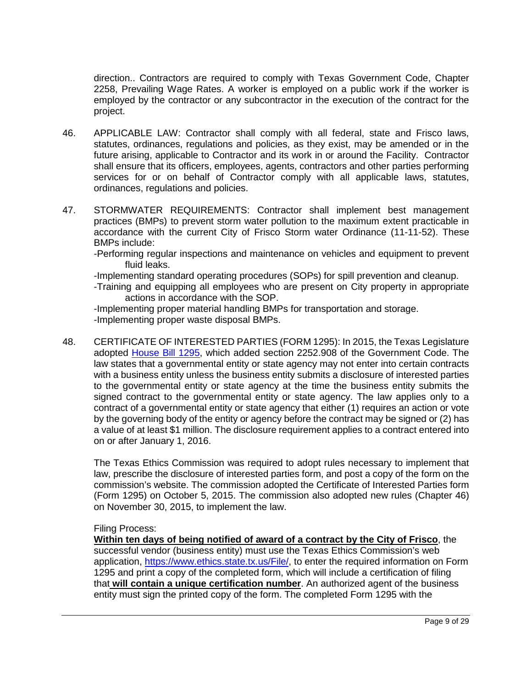direction.. Contractors are required to comply with Texas Government Code, Chapter 2258, Prevailing Wage Rates. A worker is employed on a public work if the worker is employed by the contractor or any subcontractor in the execution of the contract for the project.

- 46. APPLICABLE LAW: Contractor shall comply with all federal, state and Frisco laws, statutes, ordinances, regulations and policies, as they exist, may be amended or in the future arising, applicable to Contractor and its work in or around the Facility. Contractor shall ensure that its officers, employees, agents, contractors and other parties performing services for or on behalf of Contractor comply with all applicable laws, statutes, ordinances, regulations and policies.
- 47. STORMWATER REQUIREMENTS: Contractor shall implement best management practices (BMPs) to prevent storm water pollution to the maximum extent practicable in accordance with the current City of Frisco Storm water Ordinance (11-11-52). These BMPs include:

-Performing regular inspections and maintenance on vehicles and equipment to prevent fluid leaks.

-Implementing standard operating procedures (SOPs) for spill prevention and cleanup.

-Training and equipping all employees who are present on City property in appropriate actions in accordance with the SOP.

-Implementing proper material handling BMPs for transportation and storage. -Implementing proper waste disposal BMPs.

48. CERTIFICATE OF INTERESTED PARTIES (FORM 1295): In 2015, the Texas Legislature adopted [House Bill 1295,](http://www.legis.state.tx.us/tlodocs/84R/billtext/html/HB01295F.htm) which added section 2252.908 of the Government Code. The law states that a governmental entity or state agency may not enter into certain contracts with a business entity unless the business entity submits a disclosure of interested parties to the governmental entity or state agency at the time the business entity submits the signed contract to the governmental entity or state agency. The law applies only to a contract of a governmental entity or state agency that either (1) requires an action or vote by the governing body of the entity or agency before the contract may be signed or (2) has a value of at least \$1 million. The disclosure requirement applies to a contract entered into on or after January 1, 2016.

The Texas Ethics Commission was required to adopt rules necessary to implement that law, prescribe the disclosure of interested parties form, and post a copy of the form on the commission's website. The commission adopted the Certificate of Interested Parties form (Form 1295) on October 5, 2015. The commission also adopted new rules (Chapter 46) on November 30, 2015, to implement the law.

#### Filing Process:

**Within ten days of being notified of award of a contract by the City of Frisco**, the successful vendor (business entity) must use the Texas Ethics Commission's web application, [https://www.ethics.state.tx.us/File/,](https://www.ethics.state.tx.us/File/) to enter the required information on Form 1295 and print a copy of the completed form, which will include a certification of filing that **will contain a unique certification number**. An authorized agent of the business entity must sign the printed copy of the form. The completed Form 1295 with the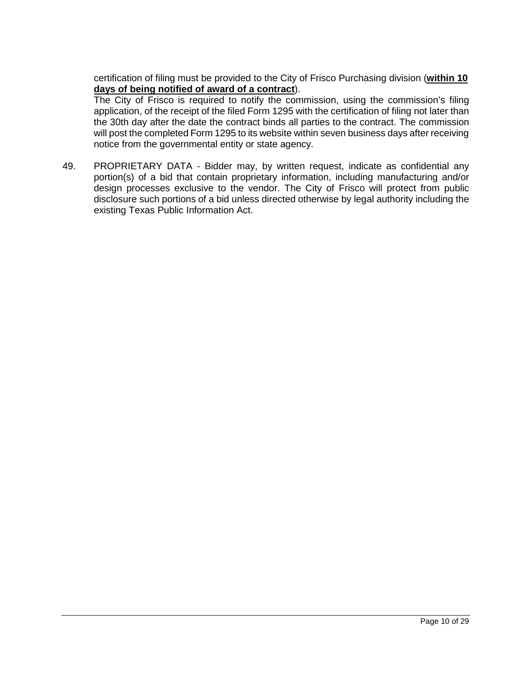certification of filing must be provided to the City of Frisco Purchasing division (**within 10 days of being notified of award of a contract**).

The City of Frisco is required to notify the commission, using the commission's filing application, of the receipt of the filed Form 1295 with the certification of filing not later than the 30th day after the date the contract binds all parties to the contract. The commission will post the completed Form 1295 to its website within seven business days after receiving notice from the governmental entity or state agency.

49. PROPRIETARY DATA - Bidder may, by written request, indicate as confidential any portion(s) of a bid that contain proprietary information, including manufacturing and/or design processes exclusive to the vendor. The City of Frisco will protect from public disclosure such portions of a bid unless directed otherwise by legal authority including the existing Texas Public Information Act.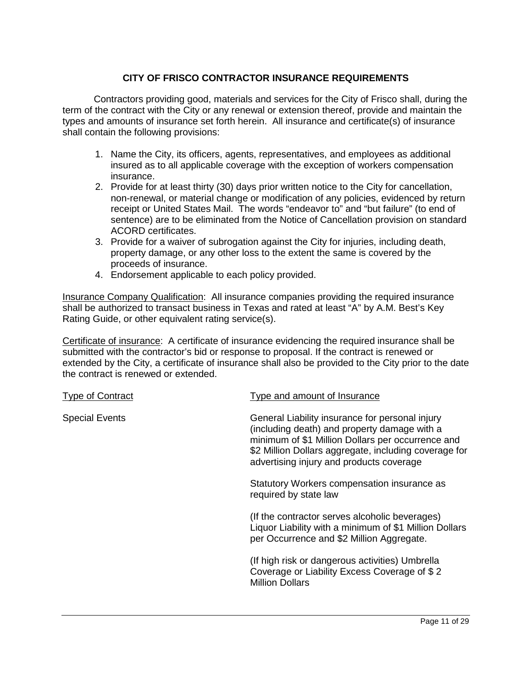#### **CITY OF FRISCO CONTRACTOR INSURANCE REQUIREMENTS**

Contractors providing good, materials and services for the City of Frisco shall, during the term of the contract with the City or any renewal or extension thereof, provide and maintain the types and amounts of insurance set forth herein. All insurance and certificate(s) of insurance shall contain the following provisions:

- 1. Name the City, its officers, agents, representatives, and employees as additional insured as to all applicable coverage with the exception of workers compensation insurance.
- 2. Provide for at least thirty (30) days prior written notice to the City for cancellation, non-renewal, or material change or modification of any policies, evidenced by return receipt or United States Mail. The words "endeavor to" and "but failure" (to end of sentence) are to be eliminated from the Notice of Cancellation provision on standard ACORD certificates.
- 3. Provide for a waiver of subrogation against the City for injuries, including death, property damage, or any other loss to the extent the same is covered by the proceeds of insurance.
- 4. Endorsement applicable to each policy provided.

Insurance Company Qualification: All insurance companies providing the required insurance shall be authorized to transact business in Texas and rated at least "A" by A.M. Best's Key Rating Guide, or other equivalent rating service(s).

Certificate of insurance: A certificate of insurance evidencing the required insurance shall be submitted with the contractor's bid or response to proposal. If the contract is renewed or extended by the City, a certificate of insurance shall also be provided to the City prior to the date the contract is renewed or extended.

| <b>Type of Contract</b> | Type and amount of Insurance                                                                                                                                                                                                                              |
|-------------------------|-----------------------------------------------------------------------------------------------------------------------------------------------------------------------------------------------------------------------------------------------------------|
| <b>Special Events</b>   | General Liability insurance for personal injury<br>(including death) and property damage with a<br>minimum of \$1 Million Dollars per occurrence and<br>\$2 Million Dollars aggregate, including coverage for<br>advertising injury and products coverage |
|                         | Statutory Workers compensation insurance as<br>required by state law                                                                                                                                                                                      |
|                         | (If the contractor serves alcoholic beverages)<br>Liquor Liability with a minimum of \$1 Million Dollars<br>per Occurrence and \$2 Million Aggregate.                                                                                                     |
|                         | (If high risk or dangerous activities) Umbrella<br>Coverage or Liability Excess Coverage of \$2<br><b>Million Dollars</b>                                                                                                                                 |
|                         |                                                                                                                                                                                                                                                           |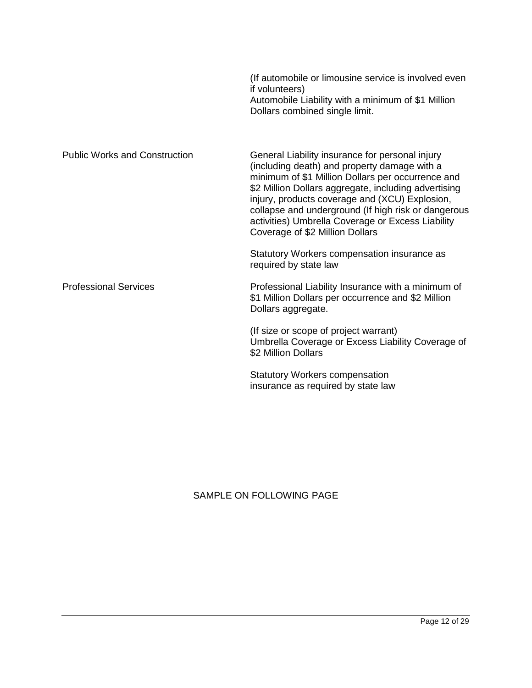|                                      | (If automobile or limousine service is involved even<br>if volunteers)<br>Automobile Liability with a minimum of \$1 Million<br>Dollars combined single limit.                                                                                                                                                                                                                                                |
|--------------------------------------|---------------------------------------------------------------------------------------------------------------------------------------------------------------------------------------------------------------------------------------------------------------------------------------------------------------------------------------------------------------------------------------------------------------|
| <b>Public Works and Construction</b> | General Liability insurance for personal injury<br>(including death) and property damage with a<br>minimum of \$1 Million Dollars per occurrence and<br>\$2 Million Dollars aggregate, including advertising<br>injury, products coverage and (XCU) Explosion,<br>collapse and underground (If high risk or dangerous<br>activities) Umbrella Coverage or Excess Liability<br>Coverage of \$2 Million Dollars |
|                                      | Statutory Workers compensation insurance as<br>required by state law                                                                                                                                                                                                                                                                                                                                          |
| <b>Professional Services</b>         | Professional Liability Insurance with a minimum of<br>\$1 Million Dollars per occurrence and \$2 Million<br>Dollars aggregate.                                                                                                                                                                                                                                                                                |
|                                      | (If size or scope of project warrant)<br>Umbrella Coverage or Excess Liability Coverage of<br>\$2 Million Dollars                                                                                                                                                                                                                                                                                             |
|                                      | <b>Statutory Workers compensation</b><br>insurance as required by state law                                                                                                                                                                                                                                                                                                                                   |

### SAMPLE ON FOLLOWING PAGE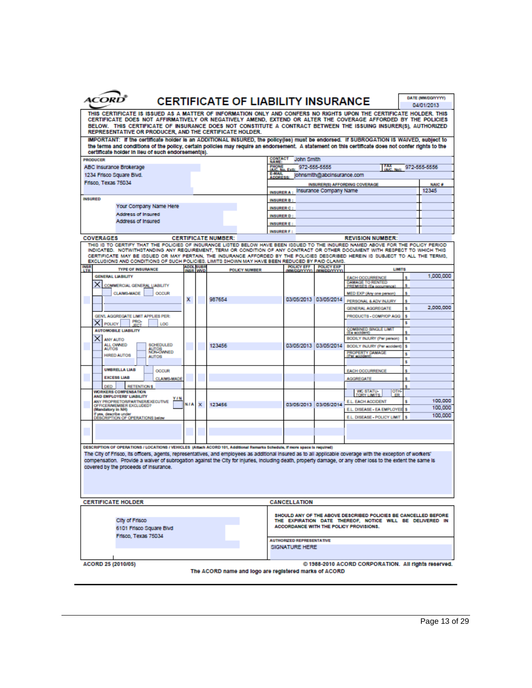| THIS CERTIFICATE IS ISSUED AS A MATTER OF INFORMATION ONLY AND CONFERS NO RIGHTS UPON THE CERTIFICATE HOLDER. THIS<br>CERTIFICATE DOES NOT AFFIRMATIVELY OR NEGATIVELY AMEND, EXTEND OR ALTER THE COVERAGE AFFORDED BY THE POLICIES                                                                                                                                                                                                                                                               |             |                                |                                                       | <b>CERTIFICATE OF LIABILITY INSURANCE</b>                                                          |                                    |                                         |                                         |                                                                 |    | DATE (MM/DD/YYYY)<br>04/01/2013 |   |  |
|---------------------------------------------------------------------------------------------------------------------------------------------------------------------------------------------------------------------------------------------------------------------------------------------------------------------------------------------------------------------------------------------------------------------------------------------------------------------------------------------------|-------------|--------------------------------|-------------------------------------------------------|----------------------------------------------------------------------------------------------------|------------------------------------|-----------------------------------------|-----------------------------------------|-----------------------------------------------------------------|----|---------------------------------|---|--|
| BELOW. THIS CERTIFICATE OF INSURANCE DOES NOT CONSTITUTE A CONTRACT BETWEEN THE ISSUING INSURER(S), AUTHORIZED<br>REPRESENTATIVE OR PRODUCER. AND THE CERTIFICATE HOLDER.<br>IMPORTANT: If the certificate holder is an ADDITIONAL INSURED, the policy(les) must be endorsed. If SUBROGATION IS WAIVED, subject to<br>the terms and conditions of the policy, certain policies may require an endorsement. A statement on this certificate does not confer rights to the                          |             |                                |                                                       |                                                                                                    |                                    |                                         |                                         |                                                                 |    |                                 |   |  |
| certificate holder in lieu of such endorsement(s).                                                                                                                                                                                                                                                                                                                                                                                                                                                |             |                                |                                                       |                                                                                                    |                                    |                                         |                                         |                                                                 |    |                                 |   |  |
| <b>PRODUCER</b>                                                                                                                                                                                                                                                                                                                                                                                                                                                                                   |             |                                |                                                       |                                                                                                    | <b>CONTACT</b><br>NAME:            | <b>John Smith</b>                       |                                         |                                                                 |    |                                 |   |  |
| ABC Insurance Brokerage                                                                                                                                                                                                                                                                                                                                                                                                                                                                           |             |                                |                                                       |                                                                                                    | PHONE<br>(A/C, N/<br><b>E-MAIL</b> |                                         | 972-555-5555                            | <b>TAX</b>                                                      |    | 972-555-5556                    |   |  |
| 1234 Frisco Square Blvd.                                                                                                                                                                                                                                                                                                                                                                                                                                                                          |             |                                |                                                       |                                                                                                    | <b>ADDRESS</b>                     |                                         | johnsmith@abcinsurance.com              |                                                                 |    |                                 |   |  |
| Frisco, Texas 75034                                                                                                                                                                                                                                                                                                                                                                                                                                                                               |             |                                |                                                       |                                                                                                    |                                    |                                         |                                         | <b>INSURER(S) AFFORDING COVERAGE</b>                            |    | <b>NAIC #</b>                   |   |  |
|                                                                                                                                                                                                                                                                                                                                                                                                                                                                                                   |             |                                |                                                       |                                                                                                    | <b>INSURER A</b>                   |                                         | Insurance Company Name                  |                                                                 |    | 12345                           |   |  |
| <b>INSURED</b>                                                                                                                                                                                                                                                                                                                                                                                                                                                                                    |             |                                |                                                       |                                                                                                    | <b>INSURER B:</b>                  |                                         |                                         |                                                                 |    |                                 |   |  |
| Your Company Name Here                                                                                                                                                                                                                                                                                                                                                                                                                                                                            |             |                                |                                                       |                                                                                                    | <b>INSURER C:</b>                  |                                         |                                         |                                                                 |    |                                 |   |  |
| Address of Insured<br>Address of Insured                                                                                                                                                                                                                                                                                                                                                                                                                                                          |             |                                |                                                       |                                                                                                    | <b>INSURER D:</b>                  |                                         |                                         |                                                                 |    |                                 |   |  |
|                                                                                                                                                                                                                                                                                                                                                                                                                                                                                                   |             |                                |                                                       |                                                                                                    | <b>INSURER E:</b>                  |                                         |                                         |                                                                 |    |                                 |   |  |
|                                                                                                                                                                                                                                                                                                                                                                                                                                                                                                   |             |                                |                                                       |                                                                                                    | <b>INSURER F:</b>                  |                                         |                                         |                                                                 |    |                                 |   |  |
| <b>COVERAGES</b><br>THIS IS TO CERTIFY THAT THE POLICIES OF INSURANCE LISTED BELOW HAVE BEEN ISSUED TO THE INSURED NAMED ABOVE FOR THE POLICY PERIOD                                                                                                                                                                                                                                                                                                                                              |             |                                | <b>CERTIFICATE NUMBER:</b>                            |                                                                                                    |                                    |                                         |                                         | <b>REVISION NUMBER:</b>                                         |    |                                 |   |  |
| INDICATED. NOTWITHSTANDING ANY REQUIREMENT, TERM OR CONDITION OF ANY CONTRACT OR OTHER DOCUMENT WITH RESPECT TO WHICH THIS<br>CERTIFICATE MAY BE ISSUED OR MAY PERTAIN, THE INSURANCE AFFORDED BY THE POLICIES DESCRIBED HEREIN IS SUBJECT TO ALL THE TERMS,<br>EXCLUSIONS AND CONDITIONS OF SUCH POLICIES, LIMITS SHOWN MAY HAVE BEEN REDUCED BY PAID CLAIMS.                                                                                                                                    |             |                                |                                                       |                                                                                                    |                                    |                                         |                                         |                                                                 |    |                                 |   |  |
| <b>INSR</b><br><b>TYPE OF INSURANCE</b><br>LTR                                                                                                                                                                                                                                                                                                                                                                                                                                                    | <b>INSR</b> | <b>ADDL BUBR</b><br><b>WVD</b> |                                                       | <b>POLICY NUMBER</b>                                                                               |                                    | <b>POLICY EFF</b><br><b>MM/DD/YYYYY</b> | <b>POLICY EXP</b><br><b>IMMIDDIYYYY</b> | LIMITS                                                          |    |                                 |   |  |
| <b>GENERAL LIABILITY</b>                                                                                                                                                                                                                                                                                                                                                                                                                                                                          |             |                                |                                                       |                                                                                                    |                                    |                                         |                                         | <b>EACH OCCURRENCE</b>                                          |    | 1,000,000                       |   |  |
| X COMMERCIAL GENERAL LIABILITY                                                                                                                                                                                                                                                                                                                                                                                                                                                                    |             |                                |                                                       |                                                                                                    |                                    |                                         |                                         | <b>DAMAGE TO RENTED</b><br><b>PREMISES (Ea occurrenc</b>        | ŧ  |                                 |   |  |
| <b>CLAIMS-MADE</b><br><b>OCCUR</b>                                                                                                                                                                                                                                                                                                                                                                                                                                                                |             |                                |                                                       |                                                                                                    |                                    |                                         |                                         |                                                                 |    | MED EXP (Any one person)        | × |  |
|                                                                                                                                                                                                                                                                                                                                                                                                                                                                                                   | x           |                                | 987654                                                |                                                                                                    |                                    |                                         | 03/05/2013 03/05/2014                   | PERSONAL & ADV INJURY                                           | ×  |                                 |   |  |
|                                                                                                                                                                                                                                                                                                                                                                                                                                                                                                   |             |                                |                                                       |                                                                                                    |                                    |                                         |                                         | GENERAL AGGREGATE                                               | s. | 2,000,000                       |   |  |
| GEN'L AGGREGATE LIMIT APPLIES PER                                                                                                                                                                                                                                                                                                                                                                                                                                                                 |             |                                |                                                       |                                                                                                    |                                    |                                         |                                         | PRODUCTS - COMP/OP AGG                                          | s  |                                 |   |  |
| PRO-<br>XI POLICY<br>LOC                                                                                                                                                                                                                                                                                                                                                                                                                                                                          |             |                                |                                                       |                                                                                                    |                                    |                                         |                                         |                                                                 | s  |                                 |   |  |
| <b>AUTOMOBILE LIABILITY</b>                                                                                                                                                                                                                                                                                                                                                                                                                                                                       |             |                                |                                                       |                                                                                                    |                                    |                                         |                                         | COMBINED SINGLE LIMIT<br>(Es secident)                          |    |                                 |   |  |
| <b>ANY AUTO</b><br><b>SCHEDULED</b>                                                                                                                                                                                                                                                                                                                                                                                                                                                               |             |                                |                                                       |                                                                                                    |                                    |                                         |                                         | BODILY INJURY (Per person)                                      | s  |                                 |   |  |
| ALL OWNED<br><b>AUTOS</b><br>AUTOS<br>NON-OWNED                                                                                                                                                                                                                                                                                                                                                                                                                                                   |             |                                | 123456                                                |                                                                                                    |                                    |                                         | 03/05/2013 03/05/2014                   | <b>BODILY INJURY (Per socident)</b><br>PROPERTY DAMAGE          | в  |                                 |   |  |
| <b>HIRED AUTOS</b><br><b>AUTOS</b>                                                                                                                                                                                                                                                                                                                                                                                                                                                                |             |                                |                                                       |                                                                                                    |                                    |                                         |                                         |                                                                 | š. |                                 |   |  |
|                                                                                                                                                                                                                                                                                                                                                                                                                                                                                                   |             |                                |                                                       |                                                                                                    |                                    |                                         |                                         |                                                                 | š. |                                 |   |  |
| UMBRELLA LIAB<br><b>OCCUR</b>                                                                                                                                                                                                                                                                                                                                                                                                                                                                     |             |                                |                                                       |                                                                                                    |                                    |                                         |                                         | <b>EACH OCCURRENCE</b>                                          |    |                                 |   |  |
| <b>EXCESS LIAB</b><br><b>CLAIMS MADE</b>                                                                                                                                                                                                                                                                                                                                                                                                                                                          |             |                                |                                                       |                                                                                                    |                                    |                                         |                                         | <b>AGGREGATE</b>                                                |    |                                 |   |  |
| <b>RETENTIONS</b><br>DED<br><b>WORKERS COMPENSATION</b>                                                                                                                                                                                                                                                                                                                                                                                                                                           |             |                                |                                                       |                                                                                                    |                                    |                                         |                                         | WC STATU-<br>OTH                                                |    |                                 |   |  |
| AND EMPLOYERS' LIABILITY<br>Y J N                                                                                                                                                                                                                                                                                                                                                                                                                                                                 |             |                                |                                                       |                                                                                                    |                                    |                                         |                                         | <b>TORY LIMITS</b><br>FR                                        |    | 100,000                         |   |  |
| ANY PROPRETOR/PARTNER/EXECUTIVE<br>OFFICER/MEMBER EXCLUDED?                                                                                                                                                                                                                                                                                                                                                                                                                                       | <b>NIA</b>  | $\mathbf x$                    | 123456                                                |                                                                                                    |                                    | 03/05/2013 03/05/2014                   |                                         | E.L. EACH ACCIDENT                                              | š. | 100,000                         |   |  |
| (Mandatory In NH)<br>If yes, describe under<br>DESCRIPTION OF OPERATIONS below                                                                                                                                                                                                                                                                                                                                                                                                                    |             |                                |                                                       |                                                                                                    |                                    |                                         |                                         | E.L. DISEASE - EA EMPLOYEE                                      | в  | 100,000                         |   |  |
|                                                                                                                                                                                                                                                                                                                                                                                                                                                                                                   |             |                                |                                                       |                                                                                                    |                                    |                                         |                                         | E.L. DISEASE - POLICY LIMIT                                     |    |                                 |   |  |
|                                                                                                                                                                                                                                                                                                                                                                                                                                                                                                   |             |                                |                                                       |                                                                                                    |                                    |                                         |                                         |                                                                 |    |                                 |   |  |
|                                                                                                                                                                                                                                                                                                                                                                                                                                                                                                   |             |                                |                                                       |                                                                                                    |                                    |                                         |                                         |                                                                 |    |                                 |   |  |
| DESCRIPTION OF OPERATIONS / LOCATIONS / VEHICLES (Attach ACORD 101, Additional Remarks Schedule, if more space is required)<br>The City of Frisco, its officers, agents, representatives, and employees as additional insured as to all applicable coverage with the exception of workers'<br>compensation. Provide a walver of subrogation against the City for injuries, including death, property damage, or any other loss to the extent the same is<br>covered by the proceeds of insurance. |             |                                |                                                       |                                                                                                    |                                    |                                         |                                         |                                                                 |    |                                 |   |  |
| <b>CERTIFICATE HOLDER</b>                                                                                                                                                                                                                                                                                                                                                                                                                                                                         |             |                                |                                                       |                                                                                                    |                                    | <b>CANCELLATION</b>                     |                                         |                                                                 |    |                                 |   |  |
|                                                                                                                                                                                                                                                                                                                                                                                                                                                                                                   |             |                                |                                                       |                                                                                                    |                                    |                                         |                                         | SHOULD ANY OF THE ABOVE DESCRIBED POLICIES BE CANCELLED BEFORE. |    |                                 |   |  |
| City of Frisco                                                                                                                                                                                                                                                                                                                                                                                                                                                                                    |             |                                |                                                       | THE EXPIRATION DATE THEREOF, NOTICE WILL BE DELIVERED IN<br>ACCORDANCE WITH THE POLICY PROVISIONS. |                                    |                                         |                                         |                                                                 |    |                                 |   |  |
| 6101 Frisco Square Blvd                                                                                                                                                                                                                                                                                                                                                                                                                                                                           |             |                                |                                                       |                                                                                                    |                                    |                                         |                                         |                                                                 |    |                                 |   |  |
| Frisco, Texas 75034                                                                                                                                                                                                                                                                                                                                                                                                                                                                               |             |                                |                                                       | <b>AUTHORIZED REPRESENTATIVE</b><br><b>SIGNATURE HERE</b>                                          |                                    |                                         |                                         |                                                                 |    |                                 |   |  |
|                                                                                                                                                                                                                                                                                                                                                                                                                                                                                                   |             |                                |                                                       |                                                                                                    |                                    |                                         |                                         |                                                                 |    |                                 |   |  |
| ACORD 25 (2010/05)                                                                                                                                                                                                                                                                                                                                                                                                                                                                                |             |                                | The ACORD name and logo are registered marks of ACORD |                                                                                                    |                                    |                                         |                                         | © 1988-2010 ACORD CORPORATION. All rights reserved.             |    |                                 |   |  |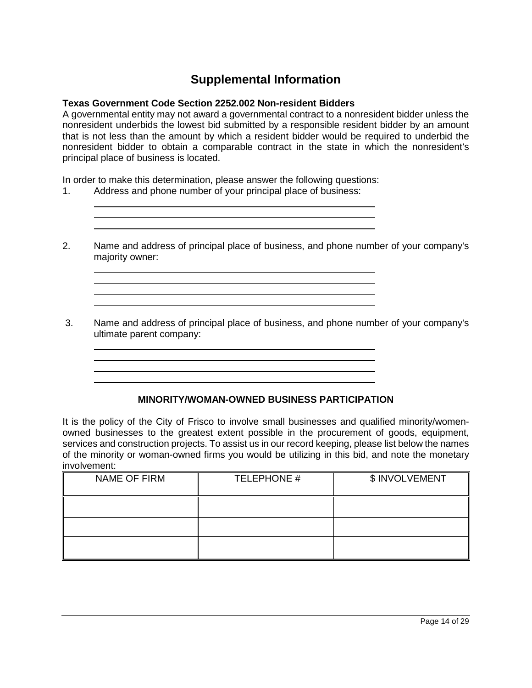## **Supplemental Information**

#### **Texas Government Code Section 2252.002 Non-resident Bidders**

A governmental entity may not award a governmental contract to a nonresident bidder unless the nonresident underbids the lowest bid submitted by a responsible resident bidder by an amount that is not less than the amount by which a resident bidder would be required to underbid the nonresident bidder to obtain a comparable contract in the state in which the nonresident's principal place of business is located.

In order to make this determination, please answer the following questions:

- 1. Address and phone number of your principal place of business:
- 2. Name and address of principal place of business, and phone number of your company's majority owner:
- 3. Name and address of principal place of business, and phone number of your company's ultimate parent company:

#### **MINORITY/WOMAN-OWNED BUSINESS PARTICIPATION**

It is the policy of the City of Frisco to involve small businesses and qualified minority/womenowned businesses to the greatest extent possible in the procurement of goods, equipment, services and construction projects. To assist us in our record keeping, please list below the names of the minority or woman-owned firms you would be utilizing in this bid, and note the monetary involvement:

| NAME OF FIRM | TELEPHONE # | \$ INVOLVEMENT |
|--------------|-------------|----------------|
|              |             |                |
|              |             |                |
|              |             |                |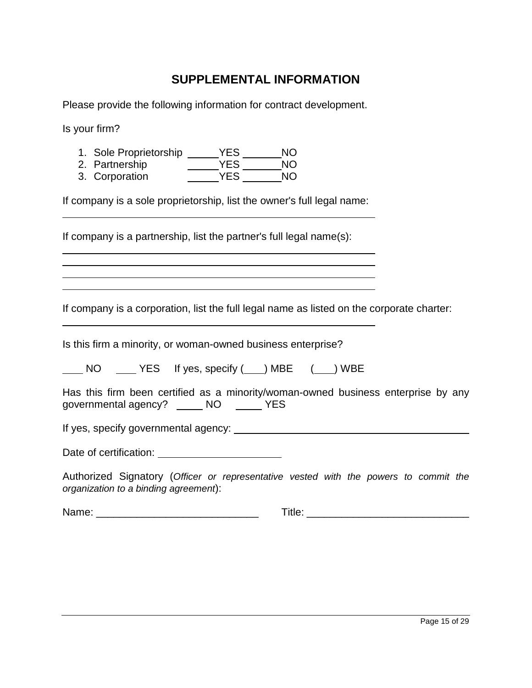## **SUPPLEMENTAL INFORMATION**

Please provide the following information for contract development.

Is your firm?

| 1. Sole Proprietorship ______YES _______NO<br>2. Partnership _______YES ______NO<br>3. Corporation ________YES ______NO        |  |  |  |  |  |
|--------------------------------------------------------------------------------------------------------------------------------|--|--|--|--|--|
| If company is a sole proprietorship, list the owner's full legal name:                                                         |  |  |  |  |  |
| If company is a partnership, list the partner's full legal name(s):                                                            |  |  |  |  |  |
| and the control of the control of the control of the control of the control of the control of the control of the               |  |  |  |  |  |
| If company is a corporation, list the full legal name as listed on the corporate charter:                                      |  |  |  |  |  |
| Is this firm a minority, or woman-owned business enterprise?                                                                   |  |  |  |  |  |
|                                                                                                                                |  |  |  |  |  |
| Has this firm been certified as a minority/woman-owned business enterprise by any<br>governmental agency? ______ NO ______ YES |  |  |  |  |  |
|                                                                                                                                |  |  |  |  |  |
| Date of certification: <u>________________________</u>                                                                         |  |  |  |  |  |
| Authorized Signatory (Officer or representative vested with the powers to commit the<br>organization to a binding agreement):  |  |  |  |  |  |
|                                                                                                                                |  |  |  |  |  |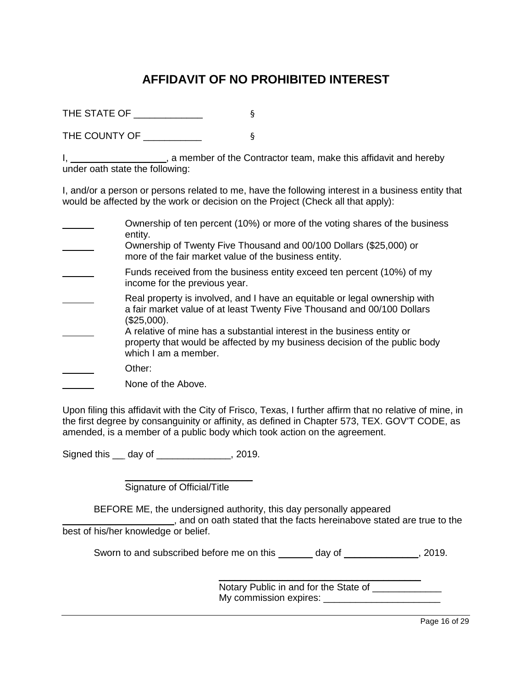## **AFFIDAVIT OF NO PROHIBITED INTEREST**

THE STATE OF \_\_\_\_\_\_\_\_\_\_\_\_\_ §

THE COUNTY OF  $\S$ 

I, \_\_\_\_\_\_\_\_\_\_\_\_\_\_\_\_\_\_\_\_, a member of the Contractor team, make this affidavit and hereby under oath state the following:

I, and/or a person or persons related to me, have the following interest in a business entity that would be affected by the work or decision on the Project (Check all that apply):

| Ownership of ten percent (10%) or more of the voting shares of the business<br>entity.<br>Ownership of Twenty Five Thousand and 00/100 Dollars (\$25,000) or<br>more of the fair market value of the business entity.                                                                                                                                 |
|-------------------------------------------------------------------------------------------------------------------------------------------------------------------------------------------------------------------------------------------------------------------------------------------------------------------------------------------------------|
| Funds received from the business entity exceed ten percent (10%) of my<br>income for the previous year.                                                                                                                                                                                                                                               |
| Real property is involved, and I have an equitable or legal ownership with<br>a fair market value of at least Twenty Five Thousand and 00/100 Dollars<br>(\$25,000).<br>A relative of mine has a substantial interest in the business entity or<br>property that would be affected by my business decision of the public body<br>which I am a member. |
| Other:<br>None of the Above.                                                                                                                                                                                                                                                                                                                          |

Upon filing this affidavit with the City of Frisco, Texas, I further affirm that no relative of mine, in the first degree by consanguinity or affinity, as defined in Chapter 573, TEX. GOV'T CODE, as amended, is a member of a public body which took action on the agreement.

Signed this \_\_ day of \_\_\_\_\_\_\_\_\_\_\_\_\_\_, 2019.

 $\mathcal{L}=\{1,2,3,4,5\}$ Signature of Official/Title

BEFORE ME, the undersigned authority, this day personally appeared

 $\Box$ , and on oath stated that the facts hereinabove stated are true to the best of his/her knowledge or belief.

Sworn to and subscribed before me on this \_\_\_\_\_\_ day of \_\_\_\_\_\_\_\_\_\_\_\_, 2019.

 $\mathcal{L}_\text{max}$  and  $\mathcal{L}_\text{max}$  and  $\mathcal{L}_\text{max}$  and  $\mathcal{L}_\text{max}$ Notary Public in and for the State of **example 20** My commission expires: **EXAMPLE**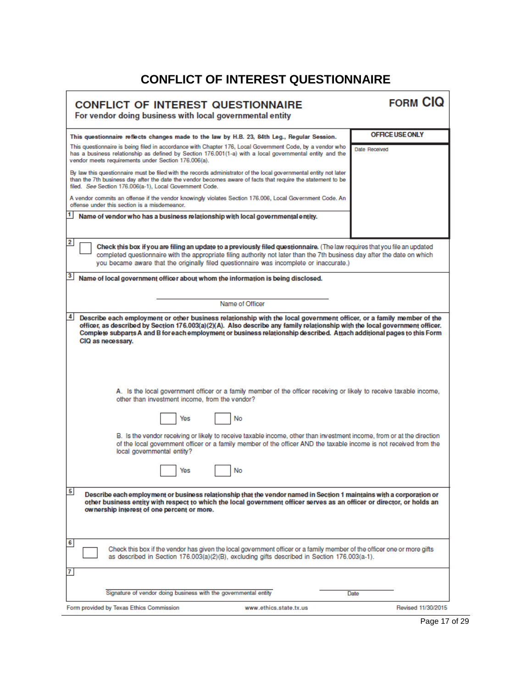# **CONFLICT OF INTEREST QUESTIONNAIRE**

| <b>CONFLICT OF INTEREST QUESTIONNAIRE</b><br>For vendor doing business with local governmental entity                                                                                                                                                                                                                                                                                                                                                                                                                                                                                                                                                                                                                                                                                                                                                                                   | <b>FORM CIQ</b>        |  |  |  |
|-----------------------------------------------------------------------------------------------------------------------------------------------------------------------------------------------------------------------------------------------------------------------------------------------------------------------------------------------------------------------------------------------------------------------------------------------------------------------------------------------------------------------------------------------------------------------------------------------------------------------------------------------------------------------------------------------------------------------------------------------------------------------------------------------------------------------------------------------------------------------------------------|------------------------|--|--|--|
| This questionnaire reflects changes made to the law by H.B. 23, 84th Leg., Regular Session.                                                                                                                                                                                                                                                                                                                                                                                                                                                                                                                                                                                                                                                                                                                                                                                             | <b>OFFICE USE ONLY</b> |  |  |  |
| This questionnaire is being filed in accordance with Chapter 176, Local Government Code, by a vendor who<br>has a business relationship as defined by Section 176.001(1-a) with a local governmental entity and the<br>vendor meets requirements under Section 176.006(a).                                                                                                                                                                                                                                                                                                                                                                                                                                                                                                                                                                                                              | Date Received          |  |  |  |
| By law this questionnaire must be filed with the records administrator of the local governmental entity not later<br>than the 7th business day after the date the vendor becomes aware of facts that require the statement to be<br>filed. See Section 176.006(a-1), Local Government Code.                                                                                                                                                                                                                                                                                                                                                                                                                                                                                                                                                                                             |                        |  |  |  |
| A vendor commits an offense if the vendor knowingly violates Section 176.006, Local Government Code. An<br>offense under this section is a misdemeanor.                                                                                                                                                                                                                                                                                                                                                                                                                                                                                                                                                                                                                                                                                                                                 |                        |  |  |  |
| Name of vendor who has a business relationship with local governmental entity.                                                                                                                                                                                                                                                                                                                                                                                                                                                                                                                                                                                                                                                                                                                                                                                                          |                        |  |  |  |
|                                                                                                                                                                                                                                                                                                                                                                                                                                                                                                                                                                                                                                                                                                                                                                                                                                                                                         |                        |  |  |  |
| 2<br>Check this box if you are filing an update to a previously filed questionnaire. (The law requires that you file an updated<br>completed questionnaire with the appropriate filing authority not later than the 7th business day after the date on which<br>you became aware that the originally filed questionnaire was incomplete or inaccurate.)                                                                                                                                                                                                                                                                                                                                                                                                                                                                                                                                 |                        |  |  |  |
| 3<br>Name of local government officer about whom the information is being disclosed.                                                                                                                                                                                                                                                                                                                                                                                                                                                                                                                                                                                                                                                                                                                                                                                                    |                        |  |  |  |
| Name of Officer                                                                                                                                                                                                                                                                                                                                                                                                                                                                                                                                                                                                                                                                                                                                                                                                                                                                         |                        |  |  |  |
| Describe each employment or other business relationship with the local government officer, or a family member of the<br>officer, as described by Section 176.003(a)(2)(A). Also describe any family relationship with the local government officer.<br>Complete subparts A and B for each employment or business relationship described. Attach additional pages to this Form<br>CIQ as necessary.<br>A. Is the local government officer or a family member of the officer receiving or likely to receive taxable income,<br>other than investment income, from the vendor?<br>No<br>Yes<br>B. Is the vendor receiving or likely to receive taxable income, other than investment income, from or at the direction<br>of the local government officer or a family member of the officer AND the taxable income is not received from the<br>local governmental entity?<br>No<br>Yes<br>5 |                        |  |  |  |
| Describe each employment or business relationship that the vendor named in Section 1 maintains with a corporation or<br>other business entity with respect to which the local government officer serves as an officer or director, or holds an<br>ownership interest of one percent or more.                                                                                                                                                                                                                                                                                                                                                                                                                                                                                                                                                                                            |                        |  |  |  |
| 6<br>Check this box if the vendor has given the local government officer or a family member of the officer one or more gifts<br>as described in Section 176.003(a)(2)(B), excluding gifts described in Section 176.003(a-1).<br>7                                                                                                                                                                                                                                                                                                                                                                                                                                                                                                                                                                                                                                                       |                        |  |  |  |
| Signature of vendor doing business with the governmental entity                                                                                                                                                                                                                                                                                                                                                                                                                                                                                                                                                                                                                                                                                                                                                                                                                         | Date                   |  |  |  |
| Form provided by Texas Ethics Commission<br>www.ethics.state.tx.us                                                                                                                                                                                                                                                                                                                                                                                                                                                                                                                                                                                                                                                                                                                                                                                                                      | Revised 11/30/2015     |  |  |  |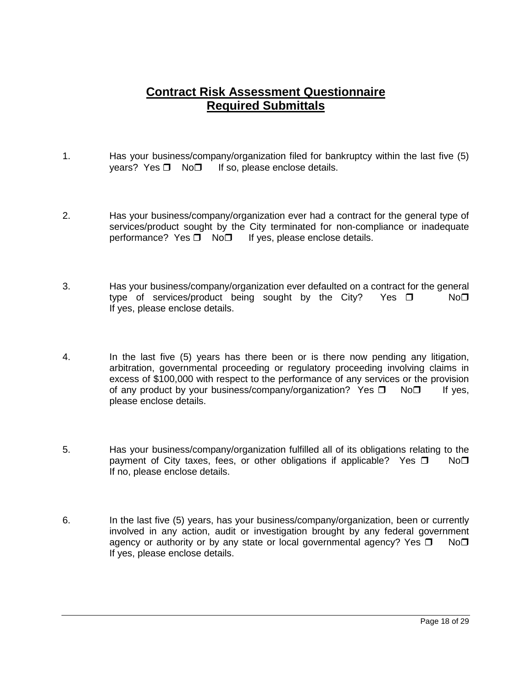## **Contract Risk Assessment Questionnaire Required Submittals**

- 1. Has your business/company/organization filed for bankruptcy within the last five (5) vears? Yes  $\square$  No $\square$  If so, please enclose details. If so, please enclose details.
- 2. Has your business/company/organization ever had a contract for the general type of services/product sought by the City terminated for non-compliance or inadequate performance? Yes  $\Box$  No $\Box$  If yes, please enclose details.
- 3. Has your business/company/organization ever defaulted on a contract for the general type of services/product being sought by the City? Yes  $\square$  No $\square$ If yes, please enclose details.
- 4. In the last five (5) years has there been or is there now pending any litigation, arbitration, governmental proceeding or regulatory proceeding involving claims in excess of \$100,000 with respect to the performance of any services or the provision of any product by your business/company/organization? Yes  $\Box$  No $\Box$  If yes, please enclose details.
- 5. Has your business/company/organization fulfilled all of its obligations relating to the payment of City taxes, fees, or other obligations if applicable? Yes  $\square$  No $\square$ If no, please enclose details.
- 6. In the last five (5) years, has your business/company/organization, been or currently involved in any action, audit or investigation brought by any federal government agency or authority or by any state or local governmental agency? Yes  $\Box$  No $\Box$ If yes, please enclose details.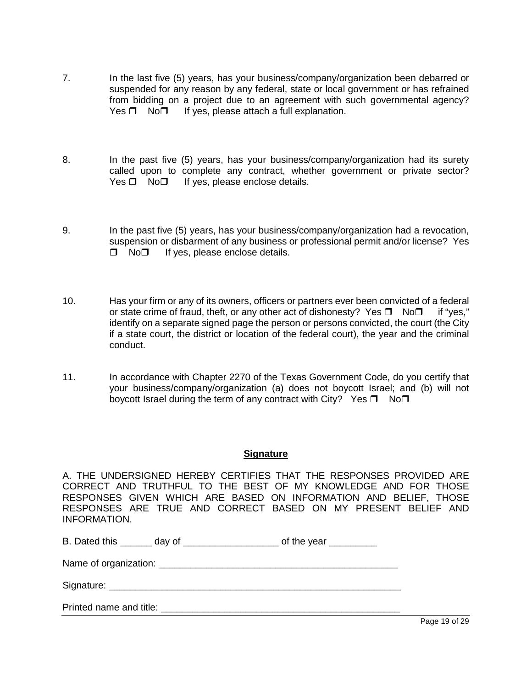- 7. In the last five (5) years, has your business/company/organization been debarred or suspended for any reason by any federal, state or local government or has refrained from bidding on a project due to an agreement with such governmental agency?  $Yes \n $\Box$  No \n $\Box$  If yes, please attach a full explanation.$
- 8. In the past five (5) years, has your business/company/organization had its surety called upon to complete any contract, whether government or private sector?  $Yes \Box No \Box$  If yes, please enclose details.
- 9. In the past five (5) years, has your business/company/organization had a revocation, suspension or disbarment of any business or professional permit and/or license? Yes  $\Box$  No $\Box$  If yes, please enclose details.
- 10. Has your firm or any of its owners, officers or partners ever been convicted of a federal or state crime of fraud, theft, or any other act of dishonesty? Yes  $\Box$  No $\Box$  if "yes," identify on a separate signed page the person or persons convicted, the court (the City if a state court, the district or location of the federal court), the year and the criminal conduct.
- 11. In accordance with Chapter 2270 of the Texas Government Code, do you certify that your business/company/organization (a) does not boycott Israel; and (b) will not boycott Israel during the term of any contract with City? Yes  $\Box$  No $\Box$

#### **Signature**

A. THE UNDERSIGNED HEREBY CERTIFIES THAT THE RESPONSES PROVIDED ARE CORRECT AND TRUTHFUL TO THE BEST OF MY KNOWLEDGE AND FOR THOSE RESPONSES GIVEN WHICH ARE BASED ON INFORMATION AND BELIEF, THOSE RESPONSES ARE TRUE AND CORRECT BASED ON MY PRESENT BELIEF AND INFORMATION.

| <b>B.</b> Dated this | dav of | of the vear |
|----------------------|--------|-------------|
|----------------------|--------|-------------|

Name of organization: \_\_\_\_\_\_\_\_\_\_\_\_\_\_\_\_\_\_\_\_\_\_\_\_\_\_\_\_\_\_\_\_\_\_\_\_\_\_\_\_\_\_\_\_\_

Signature: \_\_\_\_\_\_\_\_\_\_\_\_\_\_\_\_\_\_\_\_\_\_\_\_\_\_\_\_\_\_\_\_\_\_\_\_\_\_\_\_\_\_\_\_\_\_\_\_\_\_\_\_\_\_\_

Printed name and title: **Example 2018** 

Page 19 of 29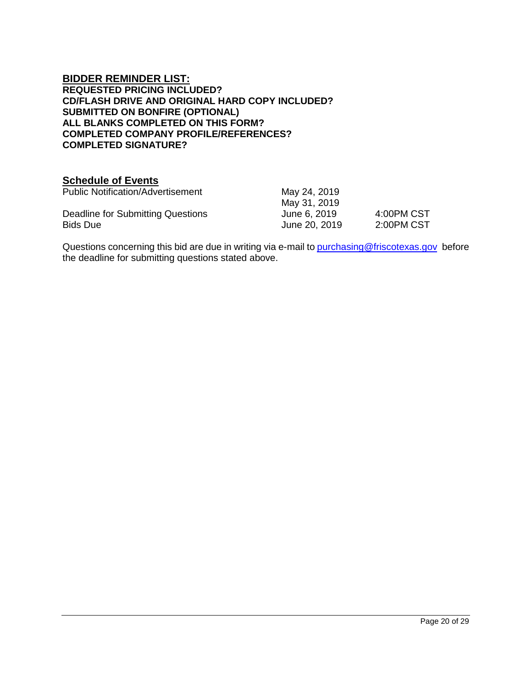#### **BIDDER REMINDER LIST: REQUESTED PRICING INCLUDED? CD/FLASH DRIVE AND ORIGINAL HARD COPY INCLUDED? SUBMITTED ON BONFIRE (OPTIONAL) ALL BLANKS COMPLETED ON THIS FORM? COMPLETED COMPANY PROFILE/REFERENCES? COMPLETED SIGNATURE?**

#### **Schedule of Events**

| <b>Public Notification/Advertisement</b> | May 24, 2019  |            |
|------------------------------------------|---------------|------------|
|                                          | May 31, 2019  |            |
| Deadline for Submitting Questions        | June 6, 2019  | 4:00PM CST |
| <b>Bids Due</b>                          | June 20, 2019 | 2:00PM CST |

Questions concerning this bid are due in writing via e-mail to [purchasing@friscotexas.gov](mailto:purchasing@friscotexas.gov) before the deadline for submitting questions stated above.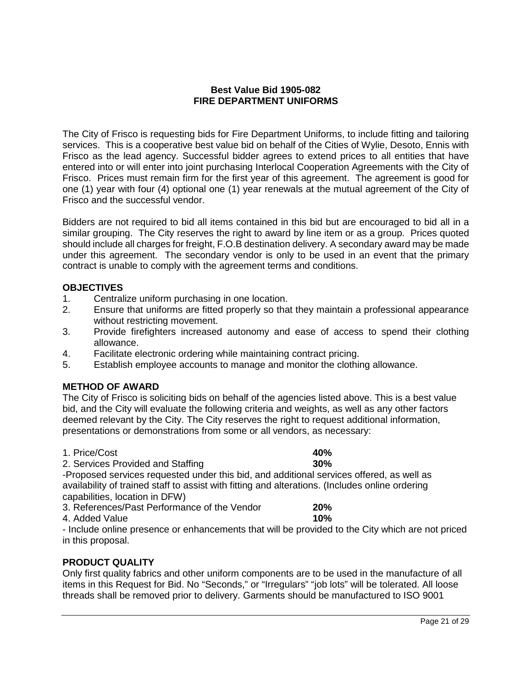#### **Best Value Bid 1905-082 FIRE DEPARTMENT UNIFORMS**

The City of Frisco is requesting bids for Fire Department Uniforms, to include fitting and tailoring services. This is a cooperative best value bid on behalf of the Cities of Wylie, Desoto, Ennis with Frisco as the lead agency. Successful bidder agrees to extend prices to all entities that have entered into or will enter into joint purchasing Interlocal Cooperation Agreements with the City of Frisco. Prices must remain firm for the first year of this agreement. The agreement is good for one (1) year with four (4) optional one (1) year renewals at the mutual agreement of the City of Frisco and the successful vendor.

Bidders are not required to bid all items contained in this bid but are encouraged to bid all in a similar grouping. The City reserves the right to award by line item or as a group. Prices quoted should include all charges for freight, F.O.B destination delivery. A secondary award may be made under this agreement. The secondary vendor is only to be used in an event that the primary contract is unable to comply with the agreement terms and conditions.

#### **OBJECTIVES**

- 1. Centralize uniform purchasing in one location.
- 2. Ensure that uniforms are fitted properly so that they maintain a professional appearance without restricting movement.
- 3. Provide firefighters increased autonomy and ease of access to spend their clothing allowance.
- 4. Facilitate electronic ordering while maintaining contract pricing.
- 5. Establish employee accounts to manage and monitor the clothing allowance.

#### **METHOD OF AWARD**

The City of Frisco is soliciting bids on behalf of the agencies listed above. This is a best value bid, and the City will evaluate the following criteria and weights, as well as any other factors deemed relevant by the City. The City reserves the right to request additional information, presentations or demonstrations from some or all vendors, as necessary:

- 1. Price/Cost **40%**
- 2. Services Provided and Staffing **30%**

-Proposed services requested under this bid, and additional services offered, as well as availability of trained staff to assist with fitting and alterations. (Includes online ordering capabilities, location in DFW)

3. References/Past Performance of the Vendor **20%**

4. Added Value **10%**

- Include online presence or enhancements that will be provided to the City which are not priced in this proposal.

#### **PRODUCT QUALITY**

Only first quality fabrics and other uniform components are to be used in the manufacture of all items in this Request for Bid. No "Seconds," or "Irregulars" "job lots" will be tolerated. All loose threads shall be removed prior to delivery. Garments should be manufactured to ISO 9001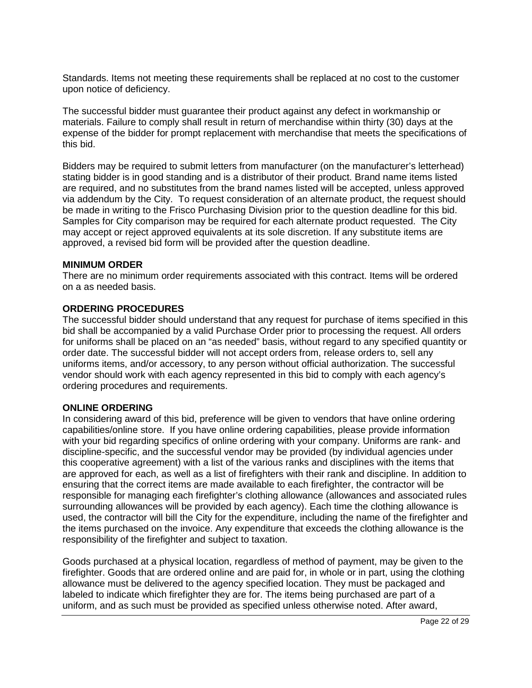Standards. Items not meeting these requirements shall be replaced at no cost to the customer upon notice of deficiency.

The successful bidder must guarantee their product against any defect in workmanship or materials. Failure to comply shall result in return of merchandise within thirty (30) days at the expense of the bidder for prompt replacement with merchandise that meets the specifications of this bid.

Bidders may be required to submit letters from manufacturer (on the manufacturer's letterhead) stating bidder is in good standing and is a distributor of their product. Brand name items listed are required, and no substitutes from the brand names listed will be accepted, unless approved via addendum by the City. To request consideration of an alternate product, the request should be made in writing to the Frisco Purchasing Division prior to the question deadline for this bid. Samples for City comparison may be required for each alternate product requested. The City may accept or reject approved equivalents at its sole discretion. If any substitute items are approved, a revised bid form will be provided after the question deadline.

#### **MINIMUM ORDER**

There are no minimum order requirements associated with this contract. Items will be ordered on a as needed basis.

#### **ORDERING PROCEDURES**

The successful bidder should understand that any request for purchase of items specified in this bid shall be accompanied by a valid Purchase Order prior to processing the request. All orders for uniforms shall be placed on an "as needed" basis, without regard to any specified quantity or order date. The successful bidder will not accept orders from, release orders to, sell any uniforms items, and/or accessory, to any person without official authorization. The successful vendor should work with each agency represented in this bid to comply with each agency's ordering procedures and requirements.

#### **ONLINE ORDERING**

In considering award of this bid, preference will be given to vendors that have online ordering capabilities/online store. If you have online ordering capabilities, please provide information with your bid regarding specifics of online ordering with your company. Uniforms are rank- and discipline-specific, and the successful vendor may be provided (by individual agencies under this cooperative agreement) with a list of the various ranks and disciplines with the items that are approved for each, as well as a list of firefighters with their rank and discipline. In addition to ensuring that the correct items are made available to each firefighter, the contractor will be responsible for managing each firefighter's clothing allowance (allowances and associated rules surrounding allowances will be provided by each agency). Each time the clothing allowance is used, the contractor will bill the City for the expenditure, including the name of the firefighter and the items purchased on the invoice. Any expenditure that exceeds the clothing allowance is the responsibility of the firefighter and subject to taxation.

Goods purchased at a physical location, regardless of method of payment, may be given to the firefighter. Goods that are ordered online and are paid for, in whole or in part, using the clothing allowance must be delivered to the agency specified location. They must be packaged and labeled to indicate which firefighter they are for. The items being purchased are part of a uniform, and as such must be provided as specified unless otherwise noted. After award,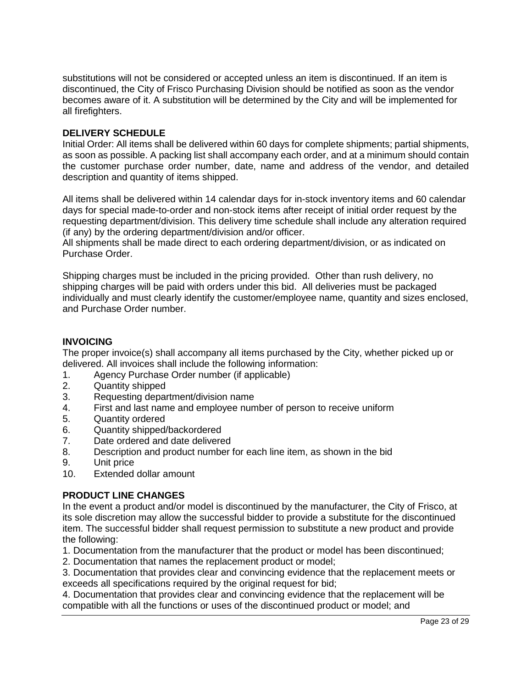substitutions will not be considered or accepted unless an item is discontinued. If an item is discontinued, the City of Frisco Purchasing Division should be notified as soon as the vendor becomes aware of it. A substitution will be determined by the City and will be implemented for all firefighters.

#### **DELIVERY SCHEDULE**

Initial Order: All items shall be delivered within 60 days for complete shipments; partial shipments, as soon as possible. A packing list shall accompany each order, and at a minimum should contain the customer purchase order number, date, name and address of the vendor, and detailed description and quantity of items shipped.

All items shall be delivered within 14 calendar days for in-stock inventory items and 60 calendar days for special made-to-order and non-stock items after receipt of initial order request by the requesting department/division. This delivery time schedule shall include any alteration required (if any) by the ordering department/division and/or officer.

All shipments shall be made direct to each ordering department/division, or as indicated on Purchase Order.

Shipping charges must be included in the pricing provided. Other than rush delivery, no shipping charges will be paid with orders under this bid. All deliveries must be packaged individually and must clearly identify the customer/employee name, quantity and sizes enclosed, and Purchase Order number.

#### **INVOICING**

The proper invoice(s) shall accompany all items purchased by the City, whether picked up or delivered. All invoices shall include the following information:

- 1. Agency Purchase Order number (if applicable)
- 2. Quantity shipped
- 3. Requesting department/division name
- 4. First and last name and employee number of person to receive uniform
- 5. Quantity ordered
- 6. Quantity shipped/backordered
- 7. Date ordered and date delivered
- 8. Description and product number for each line item, as shown in the bid
- 9. Unit price
- 10. Extended dollar amount

#### **PRODUCT LINE CHANGES**

In the event a product and/or model is discontinued by the manufacturer, the City of Frisco, at its sole discretion may allow the successful bidder to provide a substitute for the discontinued item. The successful bidder shall request permission to substitute a new product and provide the following:

1. Documentation from the manufacturer that the product or model has been discontinued;

2. Documentation that names the replacement product or model;

3. Documentation that provides clear and convincing evidence that the replacement meets or exceeds all specifications required by the original request for bid;

4. Documentation that provides clear and convincing evidence that the replacement will be compatible with all the functions or uses of the discontinued product or model; and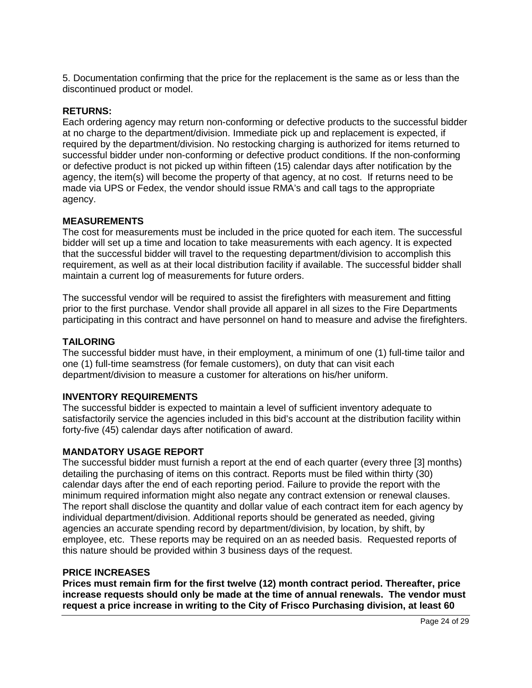5. Documentation confirming that the price for the replacement is the same as or less than the discontinued product or model.

#### **RETURNS:**

Each ordering agency may return non-conforming or defective products to the successful bidder at no charge to the department/division. Immediate pick up and replacement is expected, if required by the department/division. No restocking charging is authorized for items returned to successful bidder under non-conforming or defective product conditions. If the non-conforming or defective product is not picked up within fifteen (15) calendar days after notification by the agency, the item(s) will become the property of that agency, at no cost. If returns need to be made via UPS or Fedex, the vendor should issue RMA's and call tags to the appropriate agency.

#### **MEASUREMENTS**

The cost for measurements must be included in the price quoted for each item. The successful bidder will set up a time and location to take measurements with each agency. It is expected that the successful bidder will travel to the requesting department/division to accomplish this requirement, as well as at their local distribution facility if available. The successful bidder shall maintain a current log of measurements for future orders.

The successful vendor will be required to assist the firefighters with measurement and fitting prior to the first purchase. Vendor shall provide all apparel in all sizes to the Fire Departments participating in this contract and have personnel on hand to measure and advise the firefighters.

#### **TAILORING**

The successful bidder must have, in their employment, a minimum of one (1) full-time tailor and one (1) full-time seamstress (for female customers), on duty that can visit each department/division to measure a customer for alterations on his/her uniform.

#### **INVENTORY REQUIREMENTS**

The successful bidder is expected to maintain a level of sufficient inventory adequate to satisfactorily service the agencies included in this bid's account at the distribution facility within forty-five (45) calendar days after notification of award.

#### **MANDATORY USAGE REPORT**

The successful bidder must furnish a report at the end of each quarter (every three [3] months) detailing the purchasing of items on this contract. Reports must be filed within thirty (30) calendar days after the end of each reporting period. Failure to provide the report with the minimum required information might also negate any contract extension or renewal clauses. The report shall disclose the quantity and dollar value of each contract item for each agency by individual department/division. Additional reports should be generated as needed, giving agencies an accurate spending record by department/division, by location, by shift, by employee, etc. These reports may be required on an as needed basis. Requested reports of this nature should be provided within 3 business days of the request.

#### **PRICE INCREASES**

**Prices must remain firm for the first twelve (12) month contract period. Thereafter, price increase requests should only be made at the time of annual renewals. The vendor must request a price increase in writing to the City of Frisco Purchasing division, at least 60**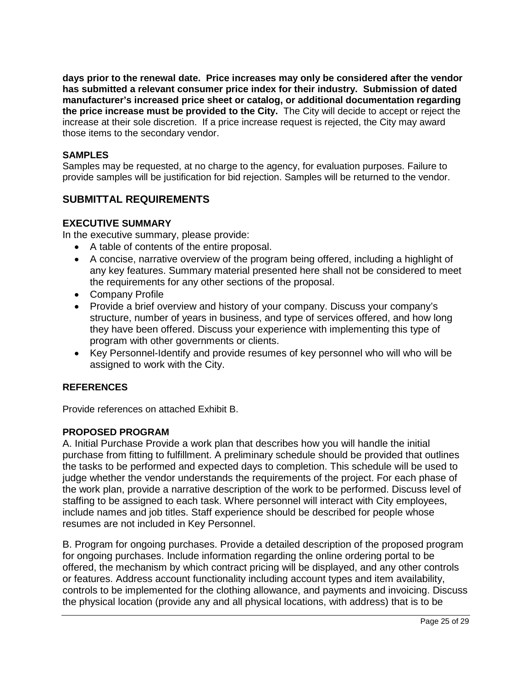**days prior to the renewal date. Price increases may only be considered after the vendor has submitted a relevant consumer price index for their industry. Submission of dated manufacturer's increased price sheet or catalog, or additional documentation regarding the price increase must be provided to the City.** The City will decide to accept or reject the increase at their sole discretion. If a price increase request is rejected, the City may award those items to the secondary vendor.

#### **SAMPLES**

Samples may be requested, at no charge to the agency, for evaluation purposes. Failure to provide samples will be justification for bid rejection. Samples will be returned to the vendor.

### **SUBMITTAL REQUIREMENTS**

#### **EXECUTIVE SUMMARY**

In the executive summary, please provide:

- A table of contents of the entire proposal.
- A concise, narrative overview of the program being offered, including a highlight of any key features. Summary material presented here shall not be considered to meet the requirements for any other sections of the proposal.
- Company Profile
- Provide a brief overview and history of your company. Discuss your company's structure, number of years in business, and type of services offered, and how long they have been offered. Discuss your experience with implementing this type of program with other governments or clients.
- Key Personnel-Identify and provide resumes of key personnel who will who will be assigned to work with the City.

#### **REFERENCES**

Provide references on attached Exhibit B.

#### **PROPOSED PROGRAM**

A. Initial Purchase Provide a work plan that describes how you will handle the initial purchase from fitting to fulfillment. A preliminary schedule should be provided that outlines the tasks to be performed and expected days to completion. This schedule will be used to judge whether the vendor understands the requirements of the project. For each phase of the work plan, provide a narrative description of the work to be performed. Discuss level of staffing to be assigned to each task. Where personnel will interact with City employees, include names and job titles. Staff experience should be described for people whose resumes are not included in Key Personnel.

B. Program for ongoing purchases. Provide a detailed description of the proposed program for ongoing purchases. Include information regarding the online ordering portal to be offered, the mechanism by which contract pricing will be displayed, and any other controls or features. Address account functionality including account types and item availability, controls to be implemented for the clothing allowance, and payments and invoicing. Discuss the physical location (provide any and all physical locations, with address) that is to be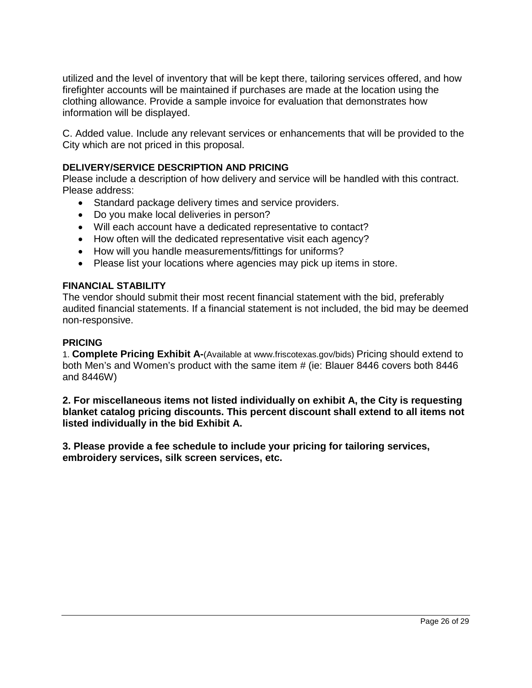utilized and the level of inventory that will be kept there, tailoring services offered, and how firefighter accounts will be maintained if purchases are made at the location using the clothing allowance. Provide a sample invoice for evaluation that demonstrates how information will be displayed.

C. Added value. Include any relevant services or enhancements that will be provided to the City which are not priced in this proposal.

#### **DELIVERY/SERVICE DESCRIPTION AND PRICING**

Please include a description of how delivery and service will be handled with this contract. Please address:

- Standard package delivery times and service providers.
- Do you make local deliveries in person?
- Will each account have a dedicated representative to contact?
- How often will the dedicated representative visit each agency?
- How will you handle measurements/fittings for uniforms?
- Please list your locations where agencies may pick up items in store.

#### **FINANCIAL STABILITY**

The vendor should submit their most recent financial statement with the bid, preferably audited financial statements. If a financial statement is not included, the bid may be deemed non-responsive.

#### **PRICING**

1. **Complete Pricing Exhibit A-**(Available at www.friscotexas.gov/bids) Pricing should extend to both Men's and Women's product with the same item # (ie: Blauer 8446 covers both 8446 and 8446W)

**2. For miscellaneous items not listed individually on exhibit A, the City is requesting blanket catalog pricing discounts. This percent discount shall extend to all items not listed individually in the bid Exhibit A.** 

**3. Please provide a fee schedule to include your pricing for tailoring services, embroidery services, silk screen services, etc.**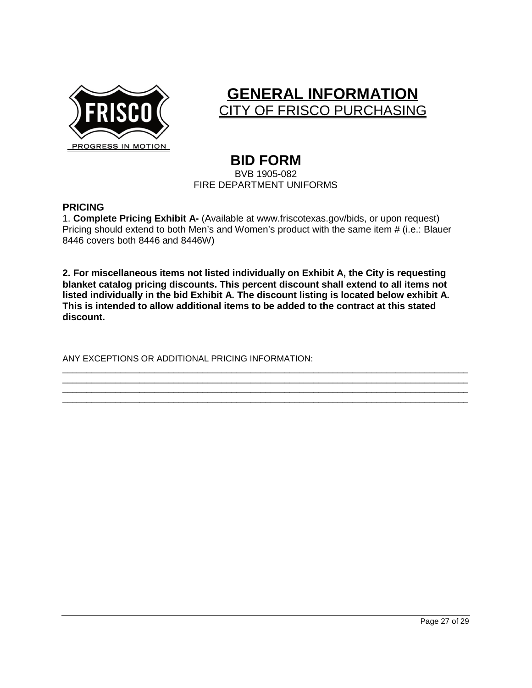

# **GENERAL INFORMATION** CITY OF FRISCO PURCHASING

### **BID FORM** BVB 1905-082 FIRE DEPARTMENT UNIFORMS

#### **PRICING**

1. **Complete Pricing Exhibit A-** (Available at www.friscotexas.gov/bids, or upon request) Pricing should extend to both Men's and Women's product with the same item # (i.e.: Blauer 8446 covers both 8446 and 8446W)

**2. For miscellaneous items not listed individually on Exhibit A, the City is requesting blanket catalog pricing discounts. This percent discount shall extend to all items not listed individually in the bid Exhibit A. The discount listing is located below exhibit A. This is intended to allow additional items to be added to the contract at this stated discount.**

\_\_\_\_\_\_\_\_\_\_\_\_\_\_\_\_\_\_\_\_\_\_\_\_\_\_\_\_\_\_\_\_\_\_\_\_\_\_\_\_\_\_\_\_\_\_\_\_\_\_\_\_\_\_\_\_\_\_\_\_\_\_\_\_\_\_\_\_\_\_\_\_\_\_\_\_\_\_\_\_\_\_\_\_ \_\_\_\_\_\_\_\_\_\_\_\_\_\_\_\_\_\_\_\_\_\_\_\_\_\_\_\_\_\_\_\_\_\_\_\_\_\_\_\_\_\_\_\_\_\_\_\_\_\_\_\_\_\_\_\_\_\_\_\_\_\_\_\_\_\_\_\_\_\_\_\_\_\_\_\_\_\_\_\_\_\_\_\_ \_\_\_\_\_\_\_\_\_\_\_\_\_\_\_\_\_\_\_\_\_\_\_\_\_\_\_\_\_\_\_\_\_\_\_\_\_\_\_\_\_\_\_\_\_\_\_\_\_\_\_\_\_\_\_\_\_\_\_\_\_\_\_\_\_\_\_\_\_\_\_\_\_\_\_\_\_\_\_\_\_\_\_\_ \_\_\_\_\_\_\_\_\_\_\_\_\_\_\_\_\_\_\_\_\_\_\_\_\_\_\_\_\_\_\_\_\_\_\_\_\_\_\_\_\_\_\_\_\_\_\_\_\_\_\_\_\_\_\_\_\_\_\_\_\_\_\_\_\_\_\_\_\_\_\_\_\_\_\_\_\_\_\_\_\_\_\_\_

ANY EXCEPTIONS OR ADDITIONAL PRICING INFORMATION: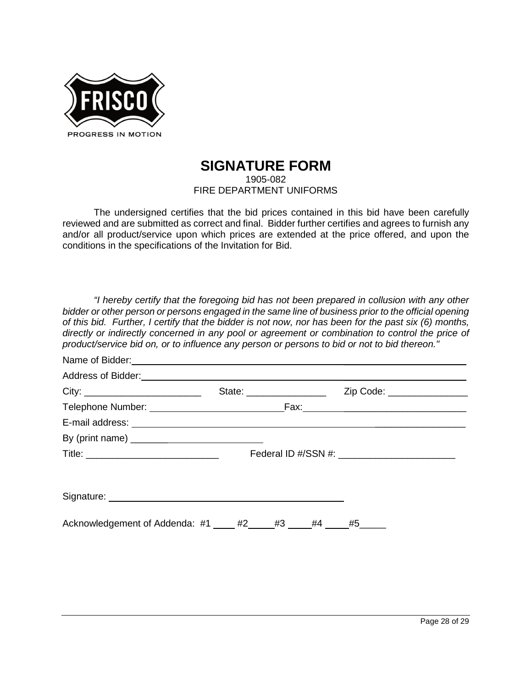

# **SIGNATURE FORM**

#### 1905-082 FIRE DEPARTMENT UNIFORMS

The undersigned certifies that the bid prices contained in this bid have been carefully reviewed and are submitted as correct and final. Bidder further certifies and agrees to furnish any and/or all product/service upon which prices are extended at the price offered, and upon the conditions in the specifications of the Invitation for Bid.

*"I hereby certify that the foregoing bid has not been prepared in collusion with any other bidder or other person or persons engaged in the same line of business prior to the official opening of this bid. Further, I certify that the bidder is not now, nor has been for the past six (6) months, directly or indirectly concerned in any pool or agreement or combination to control the price of product/service bid on, or to influence any person or persons to bid or not to bid thereon."*

| State: __________________                                            | Zip Code: ________________ |
|----------------------------------------------------------------------|----------------------------|
|                                                                      |                            |
|                                                                      |                            |
|                                                                      |                            |
|                                                                      |                            |
|                                                                      |                            |
| Acknowledgement of Addenda: #1 ____ #2 ____ #3 ____ #4 ____ #5 _____ |                            |